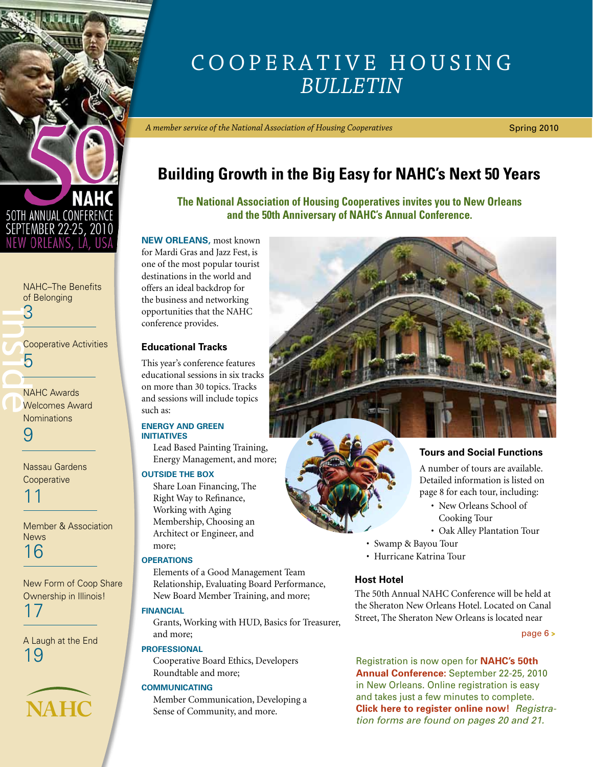<span id="page-0-0"></span>

[NAHC–The Benefits](#page-2-0)  of Belonging 3

| <b>Cooperative Activities</b><br>h          |
|---------------------------------------------|
|                                             |
| <b>NAHC Awards</b><br><b>Welcomes Award</b> |

NAHC Awards [Welcomes Award](#page-8-0)  **Nominations** 

9

[Nassau Gardens](#page-10-0)  **Cooperative** 

11

[Member & Association](#page-15-0)  **News** 16

[New Form of Coop Share](#page-16-0)  Ownership in Illinois! 17

[A Laugh at the End](#page-18-0) 19



## COOPERATIVE HOUSING *Bulletin*

*A member service of the National Association of Housing Cooperatives*

Spring 2010

## **Building Growth in the Big Easy for NAHC's Next 50 Years**

**The National Association of Housing Cooperatives invites you to New Orleans and the 50th Anniversary of NAHC's Annual Conference.** 

**New Orleans,** most known for Mardi Gras and Jazz Fest, is one of the most popular tourist destinations in the world and offers an ideal backdrop for the business and networking opportunities that the NAHC conference provides.

## **Educational Tracks**

This year's conference features educational sessions in six tracks on more than 30 topics. Tracks and sessions will include topics such as:

### **ENERGY and GREEN INITIATIVES**

Lead Based Painting Training, Energy Management, and more;

## **OUTSIDE THE BOX**

Share Loan Financing, The Right Way to Refinance, Working with Aging Membership, Choosing an Architect or Engineer, and more;

## **OPERATIONS**

Elements of a Good Management Team Relationship, Evaluating Board Performance, New Board Member Training, and more;

## **FINANCIAL**

Grants, Working with HUD, Basics for Treasurer, and more;

## **PROFESSIONAL**

Cooperative Board Ethics, Developers Roundtable and more;

### **COMMUNICATING**

Member Communication, Developing a Sense of Community, and more.



## **Tours and Social Functions**

A number of tours are available. Detailed information is listed on page 8 for each tour, including:

- New Orleans School of Cooking Tour
- Oak Alley Plantation Tour
- Swamp & Bayou Tour
- Hurricane Katrina Tour

## **Host Hotel**

The 50th Annual NAHC Conference will be held at the Sheraton New Orleans Hotel. Located on Canal Street, The Sheraton New Orleans is located near

[page 6](#page-5-0) **>**

Registration is now open for **[NAHC's 50th](http://www.coophousing.org/DisplayPage.aspx?id=550&bMenu=78&bItem=550)  [Annual Conference:](http://www.coophousing.org/DisplayPage.aspx?id=550&bMenu=78&bItem=550)** September 22-25, 2010 in New Orleans. Online registration is easy and takes just a few minutes to complete. **[Click here to register online now!](http://www.regonline.com/Checkin.asp?EventId=853123)** *Registration forms are found on [pages 20 and 21.](#page-19-0)*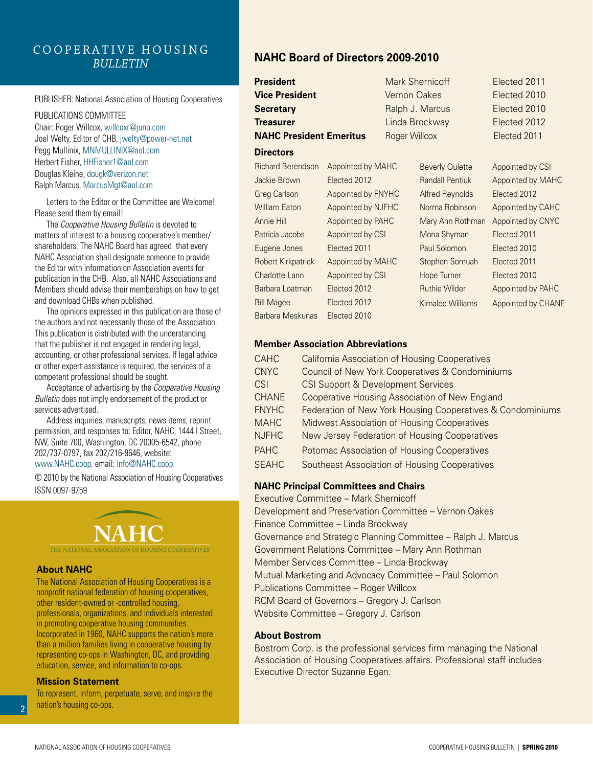## C o o p e r a t i v e H o u s i n g *Bulletin*

#### PUBLISHER: National Association of Housing Cooperatives

PUBLICATIONS COMMITTEE Chair: Roger Willcox, willcoxr@juno.com Joel Welty, Editor of CHB, jwelty@power-net.net Pegg Mullinix, MNMULLINIX@aol.com Herbert Fisher, HHFisher1@aol.com Douglas Kleine, dougk@verizon.net Ralph Marcus, MarcusMgt@aol.com

Letters to the Editor or the Committee are Welcome! Please send them by email!

The *Cooperative Housing Bulletin* is devoted to matters of interest to a housing cooperative's member/ shareholders. The NAHC Board has agreed that every NAHC Association shall designate someone to provide the Editor with information on Association events for publication in the CHB. Also, all NAHC Associations and Members should advise their memberships on how to get and download CHBs when published.

The opinions expressed in this publication are those of the authors and not necessarily those of the Association. This publication is distributed with the understanding that the publisher is not engaged in rendering legal, accounting, or other professional services. If legal advice or other expert assistance is required, the services of a competent professional should be sought.

Acceptance of advertising by the *Cooperative Housing Bulletin* does not imply endorsement of the product or services advertised.

Address inquiries, manuscripts, news items, reprint permission, and responses to: Editor, NAHC, 1444 I Street, NW, Suite 700, Washington, DC 20005-6542, phone 202/737-0797, fax 202/216-9646, website: www.NAHC.coop, email: info@NAHC.coop.

© 2010 by the National Association of Housing Cooperatives ISSN 0097-9759

# **NAHC**

The National Association of Housing Cooperatives

### **About NAHC**

The National Association of Housing Cooperatives is a nonprofit national federation of housing cooperatives, other resident-owned or -controlled housing, professionals, organizations, and individuals interested in promoting cooperative housing communities. Incorporated in 1960, NAHC supports the nation's more than a million families living in cooperative housing by representing co-ops in Washington, DC, and providing education, service, and information to co-ops.

### **Mission Statement**

To represent, inform, perpetuate, serve, and inspire the nation's housing co-ops.

## **NAHC Board of Directors 2009-2010**

| President                 |                    |                     | Mark Shernicoff        | Elected 2011       |
|---------------------------|--------------------|---------------------|------------------------|--------------------|
| Vice President            |                    | <b>Vernon Oakes</b> |                        | Elected 2010       |
| Secretary                 |                    |                     | Ralph J. Marcus        | Elected 2010       |
| Treasurer                 |                    |                     | Linda Brockway         | Elected 2012       |
| NAHC President Emeritus   |                    | Roger Willcox       |                        | Elected 2011       |
| <b>Directors</b>          |                    |                     |                        |                    |
| <b>Richard Berendson</b>  | Appointed by MAHC  |                     | <b>Beverly Oulette</b> | Appointed by CSI   |
| Jackie Brown              | Elected 2012       |                     | <b>Randall Pentiuk</b> | Appointed by MAHC  |
| Greg Carlson              | Appointed by FNYHC |                     | <b>Alfred Reynolds</b> | Elected 2012       |
| <b>William Eaton</b>      | Appointed by NJFHC |                     | Norma Robinson         | Appointed by CAHC  |
| <b>Annie Hill</b>         | Appointed by PAHC  |                     | Mary Ann Rothman       | Appointed by CNYC  |
| Patricia Jacobs           | Appointed by CSI   |                     | Mona Shyman            | Elected 2011       |
| Eugene Jones              | Elected 2011       |                     | Paul Solomon           | Elected 2010       |
| <b>Robert Kirkpatrick</b> | Appointed by MAHC  |                     | Stephen Somuah         | Elected 2011       |
| Charlotte Lann            | Appointed by CSI   |                     | Hope Turner            | Elected 2010       |
| Barbara Loatman           | Elected 2012       |                     | <b>Ruthie Wilder</b>   | Appointed by PAHC  |
| <b>Bill Magee</b>         | Elected 2012       |                     | Kimalee Williams       | Appointed by CHANE |
| Barbara Meskunas          | Elected 2010       |                     |                        |                    |

### **Member Association Abbreviations**

| <b>CAHC</b>  | <b>California Association of Housing Cooperatives</b>      |
|--------------|------------------------------------------------------------|
| <b>CNYC</b>  | <b>Council of New York Cooperatives &amp; Condominiums</b> |
| CSI          | <b>CSI Support &amp; Development Services</b>              |
| <b>CHANE</b> | Cooperative Housing Association of New England             |
| <b>FNYHC</b> | Federation of New York Housing Cooperatives & Condominiums |
| <b>MAHC</b>  | <b>Midwest Association of Housing Cooperatives</b>         |
| <b>NJFHC</b> | New Jersey Federation of Housing Cooperatives              |
| <b>PAHC</b>  | Potomac Association of Housing Cooperatives                |
| <b>SFAHC</b> | Southeast Association of Housing Cooperatives              |

### **NAHC Principal Committees and Chairs**

Executive Committee – Mark Shernicoff Development and Preservation Committee – Vernon Oakes Finance Committee – Linda Brockway Governance and Strategic Planning Committee – Ralph J. Marcus Government Relations Committee – Mary Ann Rothman Member Services Committee – Linda Brockway Mutual Marketing and Advocacy Committee – Paul Solomon Publications Committee – Roger Willcox RCM Board of Governors – Gregory J. Carlson Website Committee – Gregory J. Carlson

## **About Bostrom**

Bostrom Corp. is the professional services firm managing the National Association of Housing Cooperatives affairs. Professional staff includes Executive Director Suzanne Egan.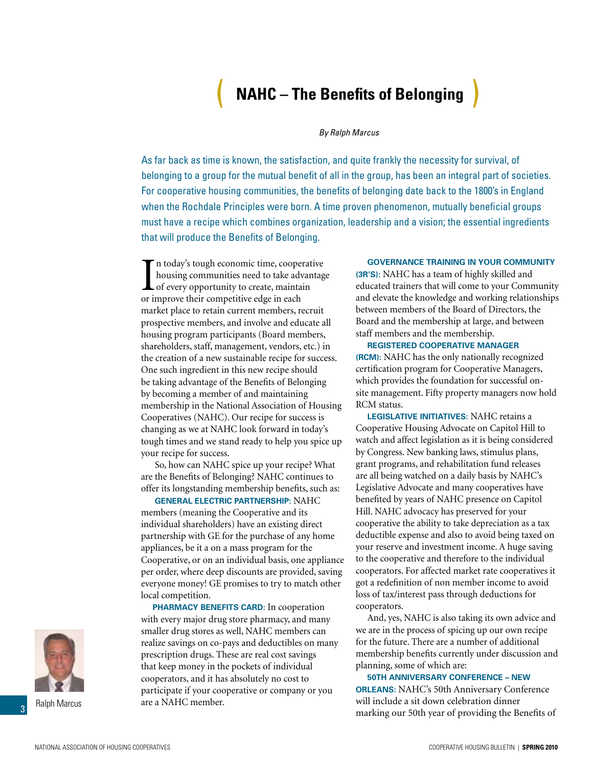## ( **NAHC – The Benefits of Belonging** )

#### *By Ralph Marcus*

<span id="page-2-0"></span>As far back as time is known, the satisfaction, and quite frankly the necessity for survival, of belonging to a group for the mutual benefit of all in the group, has been an integral part of societies. For cooperative housing communities, the benefits of belonging date back to the 1800's in England when the Rochdale Principles were born. A time proven phenomenon, mutually beneficial groups must have a recipe which combines organization, leadership and a vision; the essential ingredients that will produce the Benefits of Belonging.

In today's tough economic time, cooper<br>housing communities need to take adv<br>of every opportunity to create, maintaint or<br>improve their competitive edge in each n today's tough economic time, cooperative housing communities need to take advantage of every opportunity to create, maintain market place to retain current members, recruit prospective members, and involve and educate all housing program participants (Board members, shareholders, staff, management, vendors, etc.) in the creation of a new sustainable recipe for success. One such ingredient in this new recipe should be taking advantage of the Benefits of Belonging by becoming a member of and maintaining membership in the National Association of Housing Cooperatives (NAHC). Our recipe for success is changing as we at NAHC look forward in today's tough times and we stand ready to help you spice up your recipe for success.

So, how can NAHC spice up your recipe? What are the Benefits of Belonging? NAHC continues to offer its longstanding membership benefits, such as:

**[General Electric Partnership:](http://www.coophousing.org/DisplayPage.aspx?id=178&terms=GE#)** NAHC members (meaning the Cooperative and its individual shareholders) have an existing direct partnership with GE for the purchase of any home appliances, be it a on a mass program for the Cooperative, or on an individual basis, one appliance per order, where deep discounts are provided, saving everyone money! GE promises to try to match other local competition.

**[Pharmacy Benefits Card:](http://www.coophousing.org/DisplayPage.aspx?id=582&bMenu=132&bItem=582)** In cooperation with every major drug store pharmacy, and many smaller drug stores as well, NAHC members can realize savings on co-pays and deductibles on many prescription drugs. These are real cost savings that keep money in the pockets of individual cooperators, and it has absolutely no cost to participate if your cooperative or company or you are a NAHC member.

## **[Governance Training](http://www.coophousing.org/DisplayPage.aspx?id=144&bMenu=88&bItem=144) in your Community**

**(3R's):** NAHC has a team of highly skilled and educated trainers that will come to your Community and elevate the knowledge and working relationships between members of the Board of Directors, the Board and the membership at large, and between staff members and the membership.

**[Registered Cooperative Manager](http://www.coophousing.org/DisplayPage.aspx?id=146&bMenu=88&bItem=146)  (RCM):** NAHC has the only nationally recognized certification program for Cooperative Managers, which provides the foundation for successful onsite management. Fifty property managers now hold RCM status.

**[Legislative Initiatives:](http://www.coophousing.org/memberLogin.aspx?RedirectUrl=/MembersOnly.aspx?id=280&bMenu=122&bItem=280)** NAHC retains a Cooperative Housing Advocate on Capitol Hill to watch and affect legislation as it is being considered by Congress. New banking laws, stimulus plans, grant programs, and rehabilitation fund releases are all being watched on a daily basis by NAHC's Legislative Advocate and many cooperatives have benefited by years of NAHC presence on Capitol Hill. NAHC advocacy has preserved for your cooperative the ability to take depreciation as a tax deductible expense and also to avoid being taxed on your reserve and investment income. A huge saving to the cooperative and therefore to the individual cooperators. For affected market rate cooperatives it got a redefinition of non member income to avoid loss of tax/interest pass through deductions for cooperators.

And, yes, NAHC is also taking its own advice and we are in the process of spicing up our own recipe for the future. There are a number of additional membership benefits currently under discussion and planning, some of which are:

**50th Anniversary Conference – New Orleans:** [NAHC's 50th Anniversary Conferen](http://www.coophousing.org/DisplayPage.aspx?id=550&bMenu=78&bItem=550)ce will include a sit down celebration dinner marking our 50th year of providing the Benefits of



Ralph Marcus

3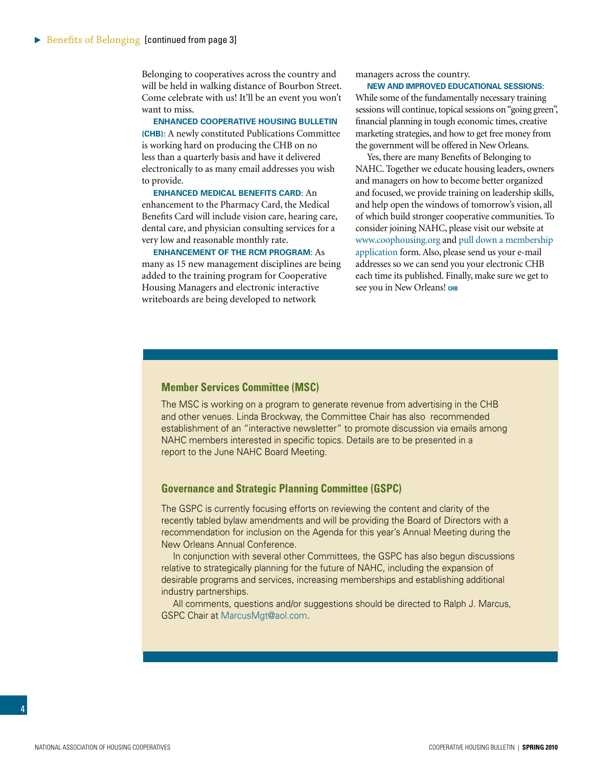Belonging to cooperatives across the country and will be held in walking distance of Bourbon Street. Come celebrate with us! It'll be an event you won't want to miss.

**Enhanced Cooperative Housing Bulletin (CHB):** A newly constituted Publications Committee is working hard on producing the CHB on no less than a quarterly basis and have it delivered electronically to as many email addresses you wish to provide.

**Enhanced Medical Benefits Card:** An enhancement to the Pharmacy Card, the Medical Benefits Card will include vision care, hearing care, dental care, and physician consulting services for a very low and reasonable monthly rate.

**Enhancement of the RCM Program:** As many as 15 new management disciplines are being added to the training program for Cooperative Housing Managers and electronic interactive writeboards are being developed to network

managers across the country.

**New and Improved Educational Sessions:**  While some of the fundamentally necessary training sessions will continue, topical sessions on "going green", financial planning in tough economic times, creative marketing strategies, and how to get free money from the government will be offered in New Orleans.

Yes, there are many Benefits of Belonging to NAHC. Together we educate housing leaders, owners and managers on how to become better organized and focused, we provide training on leadership skills, and help open the windows of tomorrow's vision, all of which build stronger cooperative communities. To consider joining NAHC, please visit our website at www.coophousing.org and [pull down a membership](http://www.coophousing.org/DisplayPage.aspx?id=180)  [application](http://www.coophousing.org/DisplayPage.aspx?id=180) form. Also, please send us your e-mail addresses so we can send you your electronic CHB each time its published. Finally, make sure we get to see you in New Orleans! **chb**

#### **Member Services Committee (MSC)**

The MSC is working on a program to generate revenue from advertising in the CHB and other venues. Linda Brockway, the Committee Chair has also recommended establishment of an "interactive newsletter" to promote discussion via emails among NAHC members interested in specific topics. Details are to be presented in a report to the June NAHC Board Meeting.

## **Governance and Strategic Planning Committee (GSPC)**

The GSPC is currently focusing efforts on reviewing the content and clarity of the recently tabled bylaw amendments and will be providing the Board of Directors with a recommendation for inclusion on the Agenda for this year's Annual Meeting during the New Orleans Annual Conference.

In conjunction with several other Committees, the GSPC has also begun discussions relative to strategically planning for the future of NAHC, including the expansion of desirable programs and services, increasing memberships and establishing additional industry partnerships.

All comments, questions and/or suggestions should be directed to Ralph J. Marcus, GSPC Chair at MarcusMgt@aol.com.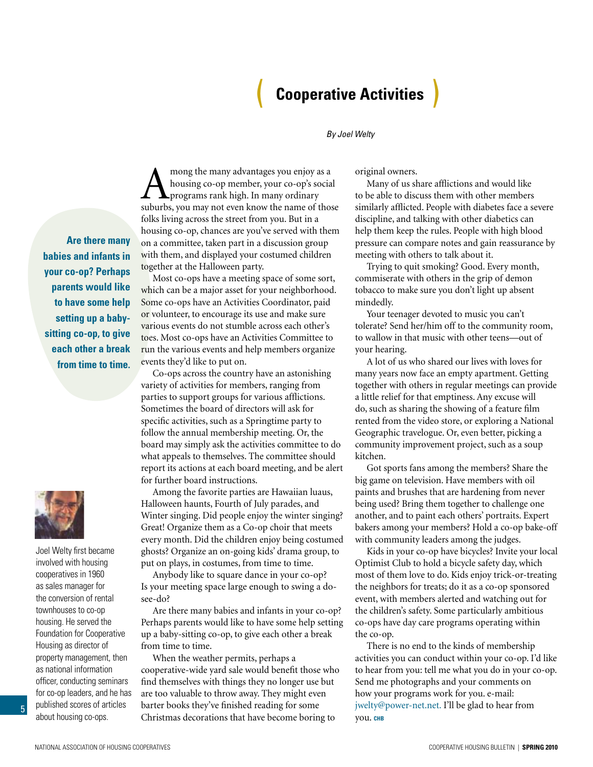## ( **Cooperative Activities** )

### *By Joel Welty*

**Are there many babies and infants in your co-op? Perhaps parents would like to have some help setting up a babysitting co-op, to give each other a break from time to time.**



Joel Welty first became involved with housing cooperatives in 1960 as sales manager for the conversion of rental townhouses to co-op housing. He served the Foundation for Cooperative Housing as director of property management, then as national information officer, conducting seminars for co-op leaders, and he has published scores of articles about housing co-ops.

<span id="page-4-0"></span>A mong the many advantages you enjoy as a<br>housing co-op member, your co-op's socia<br>suburbs you may not even know the name of those housing co-op member, your co-op's social programs rank high. In many ordinary suburbs, you may not even know the name of those folks living across the street from you. But in a housing co-op, chances are you've served with them on a committee, taken part in a discussion group with them, and displayed your costumed children together at the Halloween party.

Most co-ops have a meeting space of some sort, which can be a major asset for your neighborhood. Some co-ops have an Activities Coordinator, paid or volunteer, to encourage its use and make sure various events do not stumble across each other's toes. Most co-ops have an Activities Committee to run the various events and help members organize events they'd like to put on.

Co-ops across the country have an astonishing variety of activities for members, ranging from parties to support groups for various afflictions. Sometimes the board of directors will ask for specific activities, such as a Springtime party to follow the annual membership meeting. Or, the board may simply ask the activities committee to do what appeals to themselves. The committee should report its actions at each board meeting, and be alert for further board instructions.

Among the favorite parties are Hawaiian luaus, Halloween haunts, Fourth of July parades, and Winter singing. Did people enjoy the winter singing? Great! Organize them as a Co-op choir that meets every month. Did the children enjoy being costumed ghosts? Organize an on-going kids' drama group, to put on plays, in costumes, from time to time.

Anybody like to square dance in your co-op? Is your meeting space large enough to swing a dosee-do?

Are there many babies and infants in your co-op? Perhaps parents would like to have some help setting up a baby-sitting co-op, to give each other a break from time to time.

When the weather permits, perhaps a cooperative-wide yard sale would benefit those who find themselves with things they no longer use but are too valuable to throw away. They might even barter books they've finished reading for some Christmas decorations that have become boring to

original owners.

Many of us share afflictions and would like to be able to discuss them with other members similarly afflicted. People with diabetes face a severe discipline, and talking with other diabetics can help them keep the rules. People with high blood pressure can compare notes and gain reassurance by meeting with others to talk about it.

Trying to quit smoking? Good. Every month, commiserate with others in the grip of demon tobacco to make sure you don't light up absent mindedly.

Your teenager devoted to music you can't tolerate? Send her/him off to the community room, to wallow in that music with other teens—out of your hearing.

A lot of us who shared our lives with loves for many years now face an empty apartment. Getting together with others in regular meetings can provide a little relief for that emptiness. Any excuse will do, such as sharing the showing of a feature film rented from the video store, or exploring a National Geographic travelogue. Or, even better, picking a community improvement project, such as a soup kitchen.

Got sports fans among the members? Share the big game on television. Have members with oil paints and brushes that are hardening from never being used? Bring them together to challenge one another, and to paint each others' portraits. Expert bakers among your members? Hold a co-op bake-off with community leaders among the judges.

Kids in your co-op have bicycles? Invite your local Optimist Club to hold a bicycle safety day, which most of them love to do. Kids enjoy trick-or-treating the neighbors for treats; do it as a co-op sponsored event, with members alerted and watching out for the children's safety. Some particularly ambitious co-ops have day care programs operating within the co-op.

There is no end to the kinds of membership activities you can conduct within your co-op. I'd like to hear from you: tell me what you do in your co-op. Send me photographs and your comments on how your programs work for you. e-mail: jwelty@power-net.net. I'll be glad to hear from you. **chb**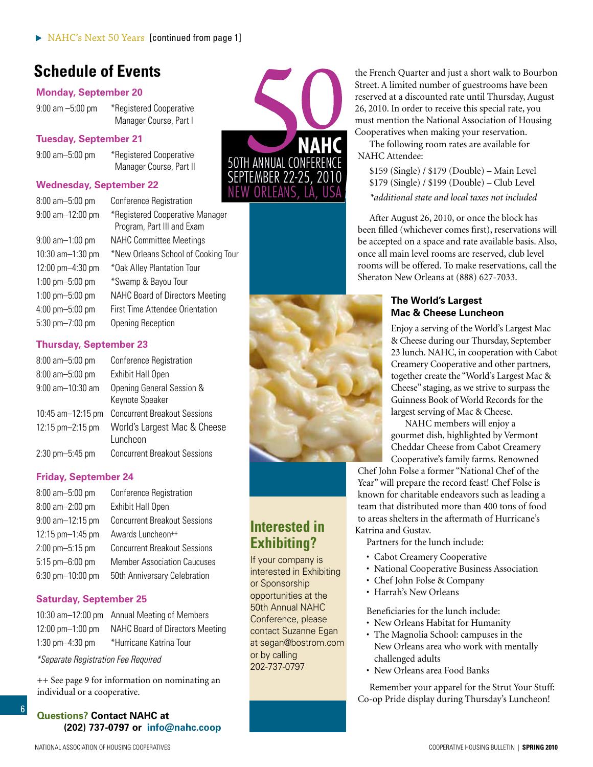## <span id="page-5-0"></span>**Schedule of Events**

## **Monday, September 20**

9:00 am –5:00 pm \* Registered Cooperative Manager Course, Part I

## **Tuesday, September 21**

9:00 am–5:00 pm \* Registered Cooperative Manager Course, Part II

## **Wednesday, September 22**

| $8:00$ am $-5:00$ pm                 | <b>Conference Registration</b>                                |
|--------------------------------------|---------------------------------------------------------------|
| 9:00 am-12:00 pm                     | *Registered Cooperative Manager<br>Program, Part III and Exam |
| $9:00$ am $-1:00$ pm                 | <b>NAHC Committee Meetings</b>                                |
| 10:30 $am-1:30$ pm                   | *New Orleans School of Cooking Tour                           |
| $12:00 \text{ pm} - 4:30 \text{ pm}$ | *Oak Alley Plantation Tour                                    |
| $1:00$ pm $-5:00$ pm                 | *Swamp & Bayou Tour                                           |
| $1:00$ pm $-5:00$ pm                 | <b>NAHC Board of Directors Meeting</b>                        |
| 4:00 pm-5:00 pm                      | <b>First Time Attendee Orientation</b>                        |
| $5:30$ pm $-7:00$ pm                 | <b>Opening Reception</b>                                      |

## **Thursday, September 23**

| $8:00$ am $-5:00$ pm | <b>Conference Registration</b>               |
|----------------------|----------------------------------------------|
| 8:00 am-5:00 pm      | <b>Exhibit Hall Open</b>                     |
| 9:00 am-10:30 am     | Opening General Session &<br>Keynote Speaker |
| 10:45 am-12:15 pm    | <b>Concurrent Breakout Sessions</b>          |
| 12:15 pm-2:15 pm     | World's Largest Mac & Cheese<br>Luncheon     |
| $2:30$ pm $-5:45$ pm | <b>Concurrent Breakout Sessions</b>          |

## **Friday, September 24**

| 8:00 am-5:00 pm       | <b>Conference Registration</b>      |
|-----------------------|-------------------------------------|
| 8:00 am-2:00 pm       | <b>Exhibit Hall Open</b>            |
| $9:00$ am $-12:15$ pm | <b>Concurrent Breakout Sessions</b> |
| 12:15 pm-1:45 pm      | Awards Luncheon++                   |
| 2:00 pm-5:15 pm       | <b>Concurrent Breakout Sessions</b> |
| $5:15$ pm $-6:00$ pm  | <b>Member Association Caucuses</b>  |
| 6:30 pm-10:00 pm      | 50th Anniversary Celebration        |

## **Saturday, September 25**

10:30 am–12:00 pm Annual Meeting of Members 12:00 pm–1:00 pm NAHC Board of Directors Meeting 1:30 pm–4:30 pm \*Hurricane Katrina Tour

*\*Separate Registration Fee Required*

6

++ See page 9 for information on nominating an individual or a cooperative.



## **Interested in Exhibiting?**

If your company is interested in Exhibiting or Sponsorship opportunities at the 50th Annual NAHC Conference, please contact Suzanne Egan at segan@bostrom.com or by calling 202-737-0797

the French Quarter and just a short walk to Bourbon Street. A limited number of guestrooms have been reserved at a discounted rate until Thursday, August 26, 2010. In order to receive this special rate, you must mention the National Association of Housing Cooperatives when making your reservation.

The following room rates are available for NAHC Attendee:

\$159 (Single) / \$179 (Double) – Main Level \$179 (Single) / \$199 (Double) – Club Level *\*additional state and local taxes not included*

After August 26, 2010, or once the block has been filled (whichever comes first), reservations will be accepted on a space and rate available basis. Also, once all main level rooms are reserved, club level rooms will be offered. To make reservations, call the Sheraton New Orleans at (888) 627-7033.

## **The World's Largest Mac & Cheese Luncheon**

Enjoy a serving of the World's Largest Mac & Cheese during our Thursday, September 23 lunch. NAHC, in cooperation with Cabot Creamery Cooperative and other partners, together create the "World's Largest Mac & Cheese" staging, as we strive to surpass the Guinness Book of World Records for the largest serving of Mac & Cheese.

NAHC members will enjoy a gourmet dish, highlighted by Vermont Cheddar Cheese from Cabot Creamery Cooperative's family farms. Renowned

Chef John Folse a former "National Chef of the Year" will prepare the record feast! Chef Folse is known for charitable endeavors such as leading a team that distributed more than 400 tons of food to areas shelters in the aftermath of Hurricane's Katrina and Gustav.

Partners for the lunch include:

- Cabot Creamery Cooperative
- National Cooperative Business Association
- Chef John Folse & Company
- Harrah's New Orleans

Beneficiaries for the lunch include:

- New Orleans Habitat for Humanity
- The Magnolia School: campuses in the New Orleans area who work with mentally challenged adults
- New Orleans area Food Banks

Remember your apparel for the Strut Your Stuff: Co-op Pride display during Thursday's Luncheon!

**Questions? Contact NAHC at (202) 737-0797 or info@nahc.coop**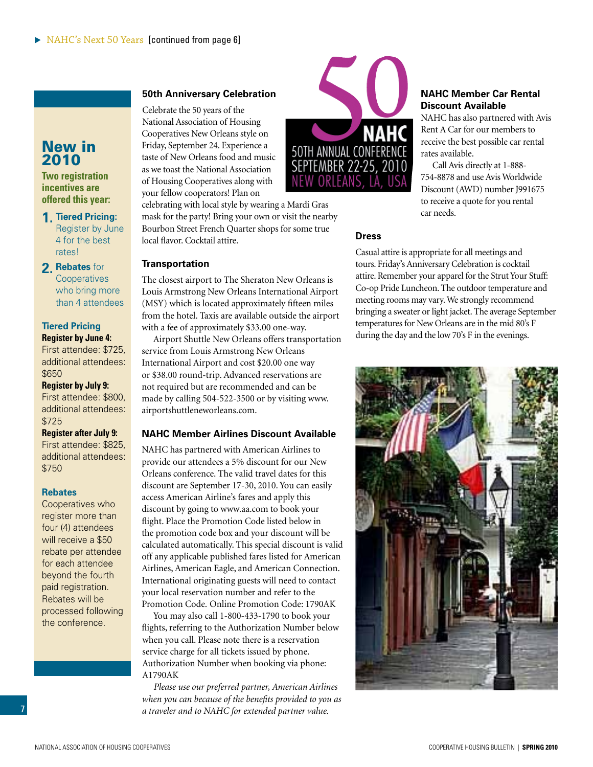## <span id="page-6-0"></span>New in 2010

**Two registration incentives are offered this year:** 

**1. Tiered Pricing:**  Register by June 4 for the best rates!

**2. Rebates** for **Cooperatives** who bring more than 4 attendees

## **Tiered Pricing Register by June 4:**

First attendee: \$725, additional attendees: \$650

**Register by July 9:**  First attendee: \$800, additional attendees: \$725

**Register after July 9:**  First attendee: \$825, additional attendees: \$750

### **Rebates**

Cooperatives who register more than four (4) attendees will receive a \$50 rebate per attendee for each attendee beyond the fourth paid registration. Rebates will be processed following the conference.

## **50th Anniversary Celebration**

Celebrate the 50 years of the National Association of Housing Cooperatives New Orleans style on Friday, September 24. Experience a taste of New Orleans food and music as we toast the National Association of Housing Cooperatives along with your fellow cooperators! Plan on

celebrating with local style by wearing a Mardi Gras mask for the party! Bring your own or visit the nearby Bourbon Street French Quarter shops for some true local flavor. Cocktail attire.

## **Transportation**

The closest airport to The Sheraton New Orleans is Louis Armstrong New Orleans International Airport (MSY) which is located approximately fifteen miles from the hotel. Taxis are available outside the airport with a fee of approximately \$33.00 one-way.

Airport Shuttle New Orleans offers transportation service from Louis Armstrong New Orleans International Airport and cost \$20.00 one way or \$38.00 round-trip. Advanced reservations are not required but are recommended and can be made by calling 504-522-3500 or by visiting www. airportshuttleneworleans.com.

## **NAHC Member Airlines Discount Available**

NAHC has partnered with American Airlines to provide our attendees a 5% discount for our New Orleans conference. The valid travel dates for this discount are September 17-30, 2010. You can easily access American Airline's fares and apply this discount by going to www.aa.com to book your flight. Place the Promotion Code listed below in the promotion code box and your discount will be calculated automatically. This special discount is valid off any applicable published fares listed for American Airlines, American Eagle, and American Connection. International originating guests will need to contact your local reservation number and refer to the Promotion Code. Online Promotion Code: 1790AK

You may also call 1-800-433-1790 to book your flights, referring to the Authorization Number below when you call. Please note there is a reservation service charge for all tickets issued by phone. Authorization Number when booking via phone: A1790AK

*Please use our preferred partner, American Airlines when you can because of the benefits provided to you as a traveler and to NAHC for extended partner value.*



## **NAHC Member Car Rental Discount Available**

NAHC has also partnered with Avis Rent A Car for our members to receive the best possible car rental rates available.

Call Avis directly at 1-888- 754-8878 and use Avis Worldwide Discount (AWD) number J991675 to receive a quote for you rental car needs.

## **Dress**

Casual attire is appropriate for all meetings and tours. Friday's Anniversary Celebration is cocktail attire. Remember your apparel for the Strut Your Stuff: Co-op Pride Luncheon. The outdoor temperature and meeting rooms may vary. We strongly recommend bringing a sweater or light jacket. The average September temperatures for New Orleans are in the mid 80's F during the day and the low 70's F in the evenings.

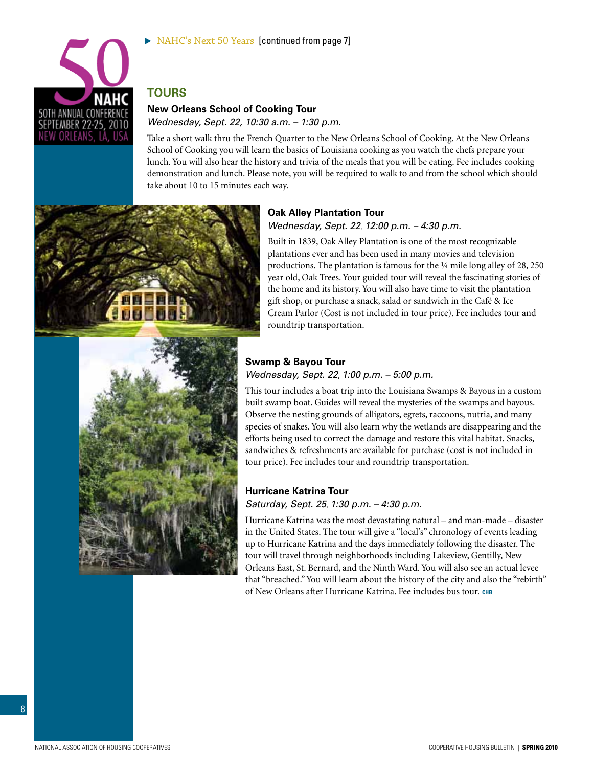

## **Tours**

## **New Orleans School of Cooking Tour**

*Wednesday, Sept. 22, 10:30 a.m. – 1:30 p.m.*

Take a short walk thru the French Quarter to the New Orleans School of Cooking. At the New Orleans School of Cooking you will learn the basics of Louisiana cooking as you watch the chefs prepare your lunch. You will also hear the history and trivia of the meals that you will be eating. Fee includes cooking demonstration and lunch. Please note, you will be required to walk to and from the school which should take about 10 to 15 minutes each way.



## **Oak Alley Plantation Tour** *Wednesday, Sept. 22*, *12:00 p.m. – 4:30 p.m.*

Built in 1839, Oak Alley Plantation is one of the most recognizable plantations ever and has been used in many movies and television productions. The plantation is famous for the ¼ mile long alley of 28, 250 year old, Oak Trees. Your guided tour will reveal the fascinating stories of the home and its history. You will also have time to visit the plantation gift shop, or purchase a snack, salad or sandwich in the Café & Ice Cream Parlor (Cost is not included in tour price). Fee includes tour and roundtrip transportation.



## **Swamp & Bayou Tour** *Wednesday, Sept. 22*, *1:00 p.m. – 5:00 p.m.*

This tour includes a boat trip into the Louisiana Swamps & Bayous in a custom built swamp boat. Guides will reveal the mysteries of the swamps and bayous. Observe the nesting grounds of alligators, egrets, raccoons, nutria, and many species of snakes. You will also learn why the wetlands are disappearing and the efforts being used to correct the damage and restore this vital habitat. Snacks, sandwiches & refreshments are available for purchase (cost is not included in tour price). Fee includes tour and roundtrip transportation.

## **Hurricane Katrina Tour**

*Saturday, Sept. 25*, *1:30 p.m. – 4:30 p.m.*

Hurricane Katrina was the most devastating natural – and man-made – disaster in the United States. The tour will give a "local's" chronology of events leading up to Hurricane Katrina and the days immediately following the disaster. The tour will travel through neighborhoods including Lakeview, Gentilly, New Orleans East, St. Bernard, and the Ninth Ward. You will also see an actual levee that "breached." You will learn about the history of the city and also the "rebirth" of New Orleans after Hurricane Katrina. Fee includes bus tour. **chb**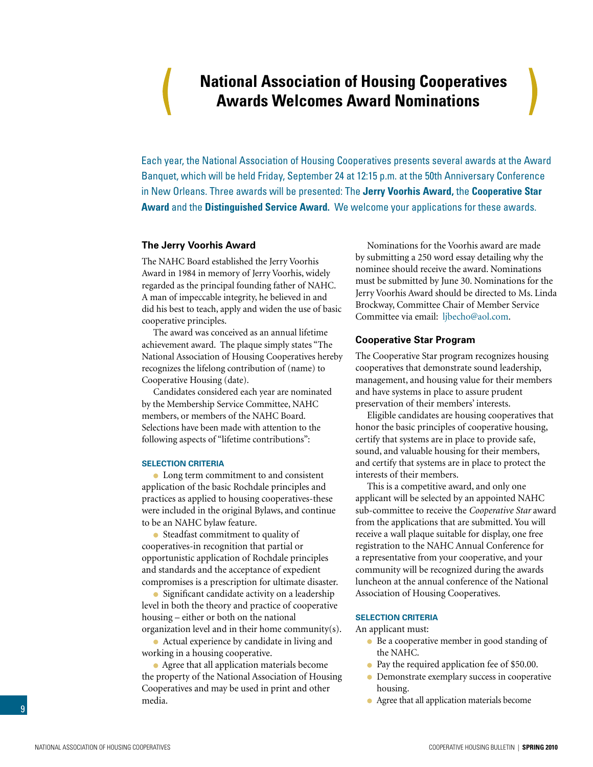## <span id="page-8-0"></span> **National Association of Housing Cooperatives Awards Welcomes Award Nominations**

Each year, the National Association of Housing Cooperatives presents several awards at the Award Banquet, which will be held Friday, September 24 at 12:15 p.m. at the 50th Anniversary Conference in New Orleans. Three awards will be presented: The **Jerry Voorhis Award,** the **Cooperative Star Award** and the **Distinguished Service Award.** We welcome your applications for these awards.

### **The Jerry Voorhis Award**

The NAHC Board established the Jerry Voorhis Award in 1984 in memory of Jerry Voorhis, widely regarded as the principal founding father of NAHC. A man of impeccable integrity, he believed in and did his best to teach, apply and widen the use of basic cooperative principles.

The award was conceived as an annual lifetime achievement award. The plaque simply states "The National Association of Housing Cooperatives hereby recognizes the lifelong contribution of (name) to Cooperative Housing (date).

Candidates considered each year are nominated by the Membership Service Committee, NAHC members, or members of the NAHC Board. Selections have been made with attention to the following aspects of "lifetime contributions":

### **Selection Criteria**

• Long term commitment to and consistent application of the basic Rochdale principles and practices as applied to housing cooperatives-these were included in the original Bylaws, and continue to be an NAHC bylaw feature.

• Steadfast commitment to quality of cooperatives-in recognition that partial or opportunistic application of Rochdale principles and standards and the acceptance of expedient compromises is a prescription for ultimate disaster.

• Significant candidate activity on a leadership level in both the theory and practice of cooperative housing – either or both on the national organization level and in their home community(s).

Actual experience by candidate in living and working in a housing cooperative.

Agree that all application materials become the property of the National Association of Housing Cooperatives and may be used in print and other media.

Nominations for the Voorhis award are made by submitting a 250 word essay detailing why the nominee should receive the award. Nominations must be submitted by June 30. Nominations for the Jerry Voorhis Award should be directed to Ms. Linda Brockway, Committee Chair of Member Service Committee via email: ljbecho@aol.com.

#### **Cooperative Star Program**

The Cooperative Star program recognizes housing cooperatives that demonstrate sound leadership, management, and housing value for their members and have systems in place to assure prudent preservation of their members' interests.

Eligible candidates are housing cooperatives that honor the basic principles of cooperative housing, certify that systems are in place to provide safe, sound, and valuable housing for their members, and certify that systems are in place to protect the interests of their members.

This is a competitive award, and only one applicant will be selected by an appointed NAHC sub-committee to receive the *Cooperative Star* award from the applications that are submitted. You will receive a wall plaque suitable for display, one free registration to the NAHC Annual Conference for a representative from your cooperative, and your community will be recognized during the awards luncheon at the annual conference of the National Association of Housing Cooperatives.

#### **SELECTION CRITERIA**

An applicant must:

- Be a cooperative member in good standing of the NAHC.
- Pay the required application fee of \$50.00.
- **Demonstrate exemplary success in cooperative** housing.
- Agree that all application materials become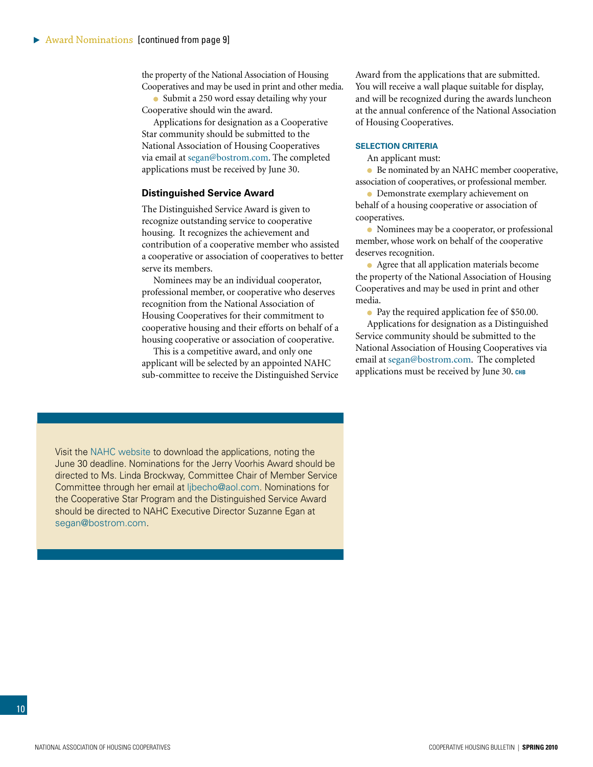the property of the National Association of Housing Cooperatives and may be used in print and other media.

• Submit a 250 word essay detailing why your Cooperative should win the award.

Applications for designation as a Cooperative Star community should be submitted to the National Association of Housing Cooperatives via email at segan@bostrom.com. The completed applications must be received by June 30.

### **Distinguished Service Award**

The Distinguished Service Award is given to recognize outstanding service to cooperative housing. It recognizes the achievement and contribution of a cooperative member who assisted a cooperative or association of cooperatives to better serve its members.

Nominees may be an individual cooperator, professional member, or cooperative who deserves recognition from the National Association of Housing Cooperatives for their commitment to cooperative housing and their efforts on behalf of a housing cooperative or association of cooperative.

This is a competitive award, and only one applicant will be selected by an appointed NAHC sub-committee to receive the Distinguished Service Award from the applications that are submitted. You will receive a wall plaque suitable for display, and will be recognized during the awards luncheon at the annual conference of the National Association of Housing Cooperatives.

#### **SELECTION CRITERIA**

An applicant must:

● Be nominated by an NAHC member cooperative, association of cooperatives, or professional member.

**• Demonstrate exemplary achievement on** behalf of a housing cooperative or association of cooperatives.

Nominees may be a cooperator, or professional member, whose work on behalf of the cooperative deserves recognition.

• Agree that all application materials become the property of the National Association of Housing Cooperatives and may be used in print and other media.

• Pay the required application fee of \$50.00.

Applications for designation as a Distinguished Service community should be submitted to the National Association of Housing Cooperatives via email at segan@bostrom.com. The completed applications must be received by June 30. CHB

Visit the [NAHC website](www.nahc.coop) to download the applications, noting the June 30 deadline. Nominations for the Jerry Voorhis Award should be directed to Ms. Linda Brockway, Committee Chair of Member Service Committee through her email at ljbecho@aol.com. Nominations for the Cooperative Star Program and the Distinguished Service Award should be directed to NAHC Executive Director Suzanne Egan at segan@bostrom.com.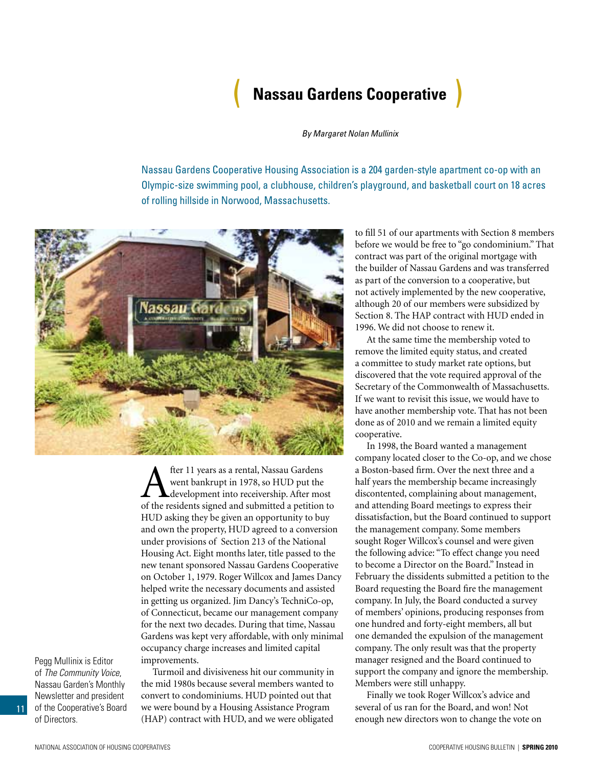## ( **Nassau Gardens Cooperative** )

*By Margaret Nolan Mullinix*

<span id="page-10-0"></span>Nassau Gardens Cooperative Housing Association is a 204 garden-style apartment co-op with an Olympic-size swimming pool, a clubhouse, children's playground, and basketball court on 18 acres of rolling hillside in Norwood, Massachusetts.



**A** fter 11 years as a rental, Nassau Gardens<br>went bankrupt in 1978, so HUD put the<br>of the residents signed and submitted a petition went bankrupt in 1978, so HUD put the development into receivership. After most of the residents signed and submitted a petition to HUD asking they be given an opportunity to buy and own the property, HUD agreed to a conversion under provisions of Section 213 of the National Housing Act. Eight months later, title passed to the new tenant sponsored Nassau Gardens Cooperative on October 1, 1979. Roger Willcox and James Dancy helped write the necessary documents and assisted in getting us organized. Jim Dancy's TechniCo-op, of Connecticut, became our management company for the next two decades. During that time, Nassau Gardens was kept very affordable, with only minimal occupancy charge increases and limited capital improvements.

Pegg Mullinix is Editor of *The Community Voice*, Nassau Garden's Monthly Newsletter and president of the Cooperative's Board of Directors.

11

Turmoil and divisiveness hit our community in the mid 1980s because several members wanted to convert to condominiums. HUD pointed out that we were bound by a Housing Assistance Program (HAP) contract with HUD, and we were obligated

to fill 51 of our apartments with Section 8 members before we would be free to "go condominium." That contract was part of the original mortgage with the builder of Nassau Gardens and was transferred as part of the conversion to a cooperative, but not actively implemented by the new cooperative, although 20 of our members were subsidized by Section 8. The HAP contract with HUD ended in 1996. We did not choose to renew it.

At the same time the membership voted to remove the limited equity status, and created a committee to study market rate options, but discovered that the vote required approval of the Secretary of the Commonwealth of Massachusetts. If we want to revisit this issue, we would have to have another membership vote. That has not been done as of 2010 and we remain a limited equity cooperative.

In 1998, the Board wanted a management company located closer to the Co-op, and we chose a Boston-based firm. Over the next three and a half years the membership became increasingly discontented, complaining about management, and attending Board meetings to express their dissatisfaction, but the Board continued to support the management company. Some members sought Roger Willcox's counsel and were given the following advice: "To effect change you need to become a Director on the Board." Instead in February the dissidents submitted a petition to the Board requesting the Board fire the management company. In July, the Board conducted a survey of members' opinions, producing responses from one hundred and forty-eight members, all but one demanded the expulsion of the management company. The only result was that the property manager resigned and the Board continued to support the company and ignore the membership. Members were still unhappy.

Finally we took Roger Willcox's advice and several of us ran for the Board, and won! Not enough new directors won to change the vote on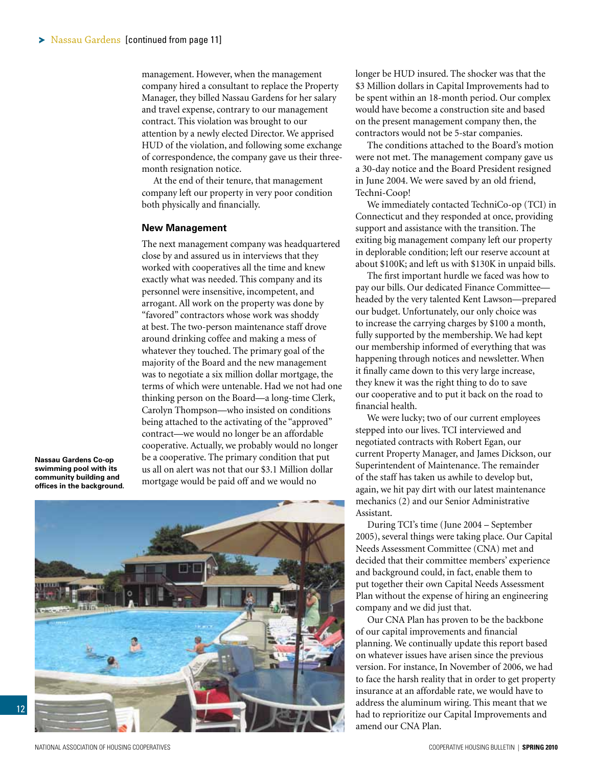<span id="page-11-0"></span>management. However, when the management company hired a consultant to replace the Property Manager, they billed Nassau Gardens for her salary and travel expense, contrary to our management contract. This violation was brought to our attention by a newly elected Director. We apprised HUD of the violation, and following some exchange of correspondence, the company gave us their threemonth resignation notice.

At the end of their tenure, that management company left our property in very poor condition both physically and financially.

#### **New Management**

The next management company was headquartered close by and assured us in interviews that they worked with cooperatives all the time and knew exactly what was needed. This company and its personnel were insensitive, incompetent, and arrogant. All work on the property was done by "favored" contractors whose work was shoddy at best. The two-person maintenance staff drove around drinking coffee and making a mess of whatever they touched. The primary goal of the majority of the Board and the new management was to negotiate a six million dollar mortgage, the terms of which were untenable. Had we not had one thinking person on the Board—a long-time Clerk, Carolyn Thompson—who insisted on conditions being attached to the activating of the "approved" contract—we would no longer be an affordable cooperative. Actually, we probably would no longer be a cooperative. The primary condition that put us all on alert was not that our \$3.1 Million dollar mortgage would be paid off and we would no

**Nassau Gardens Co-op swimming pool with its community building and offices in the background.**



longer be HUD insured. The shocker was that the \$3 Million dollars in Capital Improvements had to be spent within an 18-month period. Our complex would have become a construction site and based on the present management company then, the contractors would not be 5-star companies.

The conditions attached to the Board's motion were not met. The management company gave us a 30-day notice and the Board President resigned in June 2004. We were saved by an old friend, Techni-Coop!

We immediately contacted TechniCo-op (TCI) in Connecticut and they responded at once, providing support and assistance with the transition. The exiting big management company left our property in deplorable condition; left our reserve account at about \$100K; and left us with \$130K in unpaid bills.

The first important hurdle we faced was how to pay our bills. Our dedicated Finance Committee headed by the very talented Kent Lawson—prepared our budget. Unfortunately, our only choice was to increase the carrying charges by \$100 a month, fully supported by the membership. We had kept our membership informed of everything that was happening through notices and newsletter. When it finally came down to this very large increase, they knew it was the right thing to do to save our cooperative and to put it back on the road to financial health.

We were lucky; two of our current employees stepped into our lives. TCI interviewed and negotiated contracts with Robert Egan, our current Property Manager, and James Dickson, our Superintendent of Maintenance. The remainder of the staff has taken us awhile to develop but, again, we hit pay dirt with our latest maintenance mechanics (2) and our Senior Administrative Assistant.

During TCI's time (June 2004 – September 2005), several things were taking place. Our Capital Needs Assessment Committee (CNA) met and decided that their committee members' experience and background could, in fact, enable them to put together their own Capital Needs Assessment Plan without the expense of hiring an engineering company and we did just that.

Our CNA Plan has proven to be the backbone of our capital improvements and financial planning. We continually update this report based on whatever issues have arisen since the previous version. For instance, In November of 2006, we had to face the harsh reality that in order to get property insurance at an affordable rate, we would have to address the aluminum wiring. This meant that we had to reprioritize our Capital Improvements and amend our CNA Plan.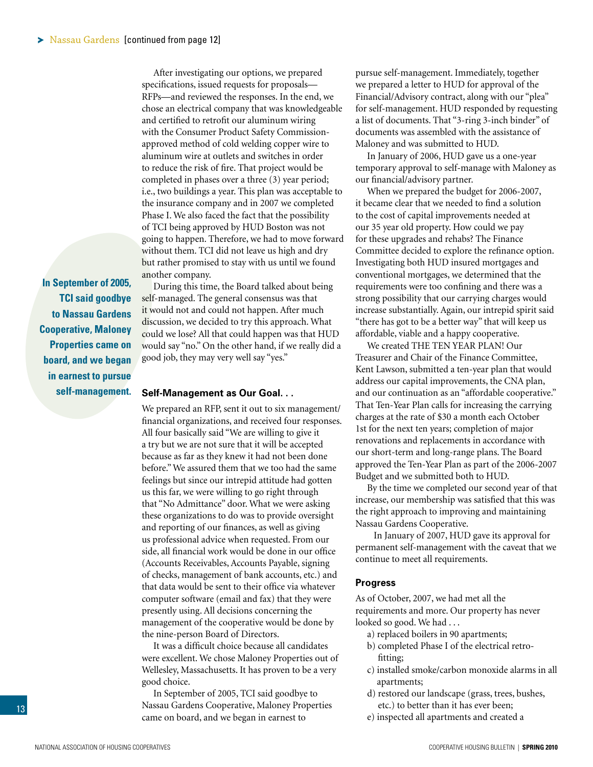<span id="page-12-0"></span>After investigating our options, we prepared specifications, issued requests for proposals— RFPs—and reviewed the responses. In the end, we chose an electrical company that was knowledgeable and certified to retrofit our aluminum wiring with the Consumer Product Safety Commissionapproved method of cold welding copper wire to aluminum wire at outlets and switches in order to reduce the risk of fire. That project would be completed in phases over a three (3) year period; i.e., two buildings a year. This plan was acceptable to the insurance company and in 2007 we completed Phase I. We also faced the fact that the possibility of TCI being approved by HUD Boston was not going to happen. Therefore, we had to move forward without them. TCI did not leave us high and dry but rather promised to stay with us until we found another company.

**In September of 2005, TCI said goodbye to Nassau Gardens Cooperative, Maloney Properties came on board, and we began in earnest to pursue self-management.** 

During this time, the Board talked about being self-managed. The general consensus was that it would not and could not happen. After much discussion, we decided to try this approach. What could we lose? All that could happen was that HUD would say "no." On the other hand, if we really did a good job, they may very well say "yes."

#### **Self-Management as Our Goal. . .**

We prepared an RFP, sent it out to six management/ financial organizations, and received four responses. All four basically said "We are willing to give it a try but we are not sure that it will be accepted because as far as they knew it had not been done before." We assured them that we too had the same feelings but since our intrepid attitude had gotten us this far, we were willing to go right through that "No Admittance" door. What we were asking these organizations to do was to provide oversight and reporting of our finances, as well as giving us professional advice when requested. From our side, all financial work would be done in our office (Accounts Receivables, Accounts Payable, signing of checks, management of bank accounts, etc.) and that data would be sent to their office via whatever computer software (email and fax) that they were presently using. All decisions concerning the management of the cooperative would be done by the nine-person Board of Directors.

It was a difficult choice because all candidates were excellent. We chose Maloney Properties out of Wellesley, Massachusetts. It has proven to be a very good choice.

In September of 2005, TCI said goodbye to Nassau Gardens Cooperative, Maloney Properties came on board, and we began in earnest to

pursue self-management. Immediately, together we prepared a letter to HUD for approval of the Financial/Advisory contract, along with our "plea" for self-management. HUD responded by requesting a list of documents. That "3-ring 3-inch binder" of documents was assembled with the assistance of Maloney and was submitted to HUD.

In January of 2006, HUD gave us a one-year temporary approval to self-manage with Maloney as our financial/advisory partner.

When we prepared the budget for 2006-2007, it became clear that we needed to find a solution to the cost of capital improvements needed at our 35 year old property. How could we pay for these upgrades and rehabs? The Finance Committee decided to explore the refinance option. Investigating both HUD insured mortgages and conventional mortgages, we determined that the requirements were too confining and there was a strong possibility that our carrying charges would increase substantially. Again, our intrepid spirit said "there has got to be a better way" that will keep us affordable, viable and a happy cooperative.

We created THE TEN YEAR PLAN! Our Treasurer and Chair of the Finance Committee, Kent Lawson, submitted a ten-year plan that would address our capital improvements, the CNA plan, and our continuation as an "affordable cooperative." That Ten-Year Plan calls for increasing the carrying charges at the rate of \$30 a month each October 1st for the next ten years; completion of major renovations and replacements in accordance with our short-term and long-range plans. The Board approved the Ten-Year Plan as part of the 2006-2007 Budget and we submitted both to HUD.

By the time we completed our second year of that increase, our membership was satisfied that this was the right approach to improving and maintaining Nassau Gardens Cooperative.

 In January of 2007, HUD gave its approval for permanent self-management with the caveat that we continue to meet all requirements.

#### **Progress**

As of October, 2007, we had met all the requirements and more. Our property has never looked so good. We had ...

- a) replaced boilers in 90 apartments;
- b) completed Phase I of the electrical retrofitting;
- c) installed smoke/carbon monoxide alarms in all apartments;
- d) restored our landscape (grass, trees, bushes, etc.) to better than it has ever been;
- e) inspected all apartments and created a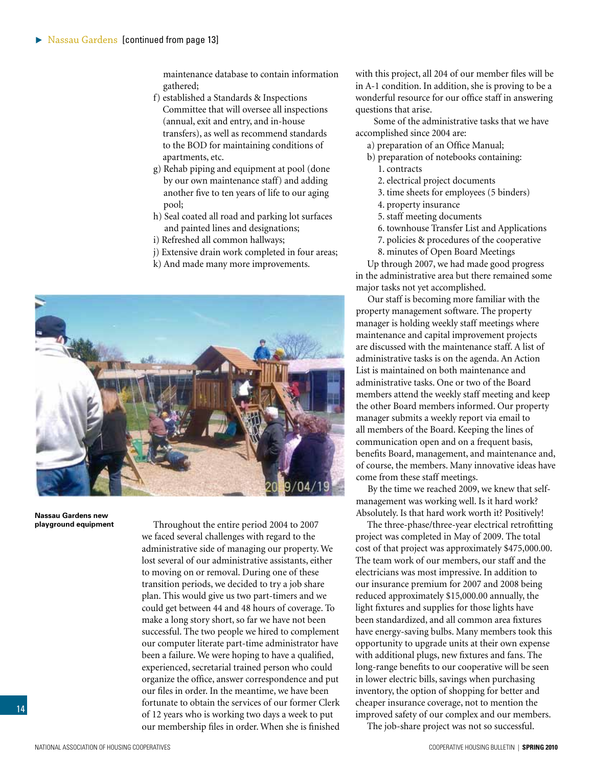<span id="page-13-0"></span>maintenance database to contain information gathered;

- f) established a Standards & Inspections Committee that will oversee all inspections (annual, exit and entry, and in-house transfers), as well as recommend standards to the BOD for maintaining conditions of apartments, etc.
- g) Rehab piping and equipment at pool (done by our own maintenance staff) and adding another five to ten years of life to our aging pool;
- h) Seal coated all road and parking lot surfaces and painted lines and designations;
- i) Refreshed all common hallways;
- j) Extensive drain work completed in four areas;
- k) And made many more improvements.



**Nassau Gardens new playground equipment**

Throughout the entire period 2004 to 2007 we faced several challenges with regard to the administrative side of managing our property. We lost several of our administrative assistants, either to moving on or removal. During one of these transition periods, we decided to try a job share plan. This would give us two part-timers and we could get between 44 and 48 hours of coverage. To make a long story short, so far we have not been successful. The two people we hired to complement our computer literate part-time administrator have been a failure. We were hoping to have a qualified, experienced, secretarial trained person who could organize the office, answer correspondence and put our files in order. In the meantime, we have been fortunate to obtain the services of our former Clerk of 12 years who is working two days a week to put our membership files in order. When she is finished

with this project, all 204 of our member files will be in A-1 condition. In addition, she is proving to be a wonderful resource for our office staff in answering questions that arise.

 Some of the administrative tasks that we have accomplished since 2004 are:

a) preparation of an Office Manual;

- b) preparation of notebooks containing: 1. contracts
	- 2. electrical project documents
	- 3. time sheets for employees (5 binders)
	- 4. property insurance
	- 5. staff meeting documents
	- 6. townhouse Transfer List and Applications
	- 7. policies & procedures of the cooperative

8. minutes of Open Board Meetings

Up through 2007, we had made good progress in the administrative area but there remained some major tasks not yet accomplished.

Our staff is becoming more familiar with the property management software. The property manager is holding weekly staff meetings where maintenance and capital improvement projects are discussed with the maintenance staff. A list of administrative tasks is on the agenda. An Action List is maintained on both maintenance and administrative tasks. One or two of the Board members attend the weekly staff meeting and keep the other Board members informed. Our property manager submits a weekly report via email to all members of the Board. Keeping the lines of communication open and on a frequent basis, benefits Board, management, and maintenance and, of course, the members. Many innovative ideas have come from these staff meetings.

By the time we reached 2009, we knew that selfmanagement was working well. Is it hard work? Absolutely. Is that hard work worth it? Positively!

The three-phase/three-year electrical retrofitting project was completed in May of 2009. The total cost of that project was approximately \$475,000.00. The team work of our members, our staff and the electricians was most impressive. In addition to our insurance premium for 2007 and 2008 being reduced approximately \$15,000.00 annually, the light fixtures and supplies for those lights have been standardized, and all common area fixtures have energy-saving bulbs. Many members took this opportunity to upgrade units at their own expense with additional plugs, new fixtures and fans. The long-range benefits to our cooperative will be seen in lower electric bills, savings when purchasing inventory, the option of shopping for better and cheaper insurance coverage, not to mention the improved safety of our complex and our members.

The job-share project was not so successful.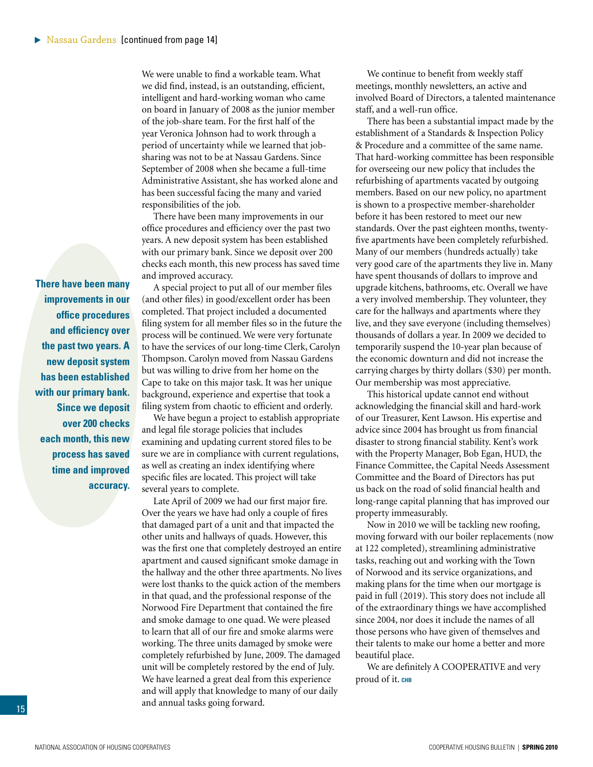We were unable to find a workable team. What we did find, instead, is an outstanding, efficient, intelligent and hard-working woman who came on board in January of 2008 as the junior member of the job-share team. For the first half of the year Veronica Johnson had to work through a period of uncertainty while we learned that jobsharing was not to be at Nassau Gardens. Since September of 2008 when she became a full-time Administrative Assistant, she has worked alone and has been successful facing the many and varied responsibilities of the job.

There have been many improvements in our office procedures and efficiency over the past two years. A new deposit system has been established with our primary bank. Since we deposit over 200 checks each month, this new process has saved time and improved accuracy.

A special project to put all of our member files (and other files) in good/excellent order has been completed. That project included a documented filing system for all member files so in the future the process will be continued. We were very fortunate to have the services of our long-time Clerk, Carolyn Thompson. Carolyn moved from Nassau Gardens but was willing to drive from her home on the Cape to take on this major task. It was her unique background, experience and expertise that took a filing system from chaotic to efficient and orderly.

We have begun a project to establish appropriate and legal file storage policies that includes examining and updating current stored files to be sure we are in compliance with current regulations, as well as creating an index identifying where specific files are located. This project will take several years to complete.

Late April of 2009 we had our first major fire. Over the years we have had only a couple of fires that damaged part of a unit and that impacted the other units and hallways of quads. However, this was the first one that completely destroyed an entire apartment and caused significant smoke damage in the hallway and the other three apartments. No lives were lost thanks to the quick action of the members in that quad, and the professional response of the Norwood Fire Department that contained the fire and smoke damage to one quad. We were pleased to learn that all of our fire and smoke alarms were working. The three units damaged by smoke were completely refurbished by June, 2009. The damaged unit will be completely restored by the end of July. We have learned a great deal from this experience and will apply that knowledge to many of our daily and annual tasks going forward.

We continue to benefit from weekly staff meetings, monthly newsletters, an active and involved Board of Directors, a talented maintenance staff, and a well-run office.

There has been a substantial impact made by the establishment of a Standards & Inspection Policy & Procedure and a committee of the same name. That hard-working committee has been responsible for overseeing our new policy that includes the refurbishing of apartments vacated by outgoing members. Based on our new policy, no apartment is shown to a prospective member-shareholder before it has been restored to meet our new standards. Over the past eighteen months, twentyfive apartments have been completely refurbished. Many of our members (hundreds actually) take very good care of the apartments they live in. Many have spent thousands of dollars to improve and upgrade kitchens, bathrooms, etc. Overall we have a very involved membership. They volunteer, they care for the hallways and apartments where they live, and they save everyone (including themselves) thousands of dollars a year. In 2009 we decided to temporarily suspend the 10-year plan because of the economic downturn and did not increase the carrying charges by thirty dollars (\$30) per month. Our membership was most appreciative.

This historical update cannot end without acknowledging the financial skill and hard-work of our Treasurer, Kent Lawson. His expertise and advice since 2004 has brought us from financial disaster to strong financial stability. Kent's work with the Property Manager, Bob Egan, HUD, the Finance Committee, the Capital Needs Assessment Committee and the Board of Directors has put us back on the road of solid financial health and long-range capital planning that has improved our property immeasurably.

Now in 2010 we will be tackling new roofing, moving forward with our boiler replacements (now at 122 completed), streamlining administrative tasks, reaching out and working with the Town of Norwood and its service organizations, and making plans for the time when our mortgage is paid in full (2019). This story does not include all of the extraordinary things we have accomplished since 2004, nor does it include the names of all those persons who have given of themselves and their talents to make our home a better and more beautiful place.

We are definitely A COOPERATIVE and very proud of it. **chb**

**There have been many improvements in our office procedures and efficiency over the past two years. A new deposit system has been established with our primary bank. Since we deposit over 200 checks each month, this new process has saved time and improved accuracy.**

15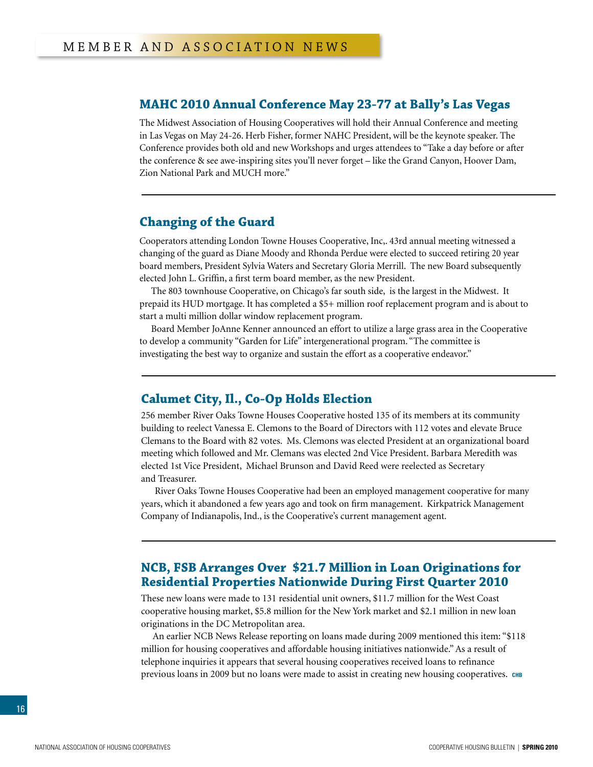## <span id="page-15-0"></span>**MAHC 2010 Annual Conference May 23-77 at Bally's Las Vegas**

The Midwest Association of Housing Cooperatives will hold their Annual Conference and meeting in Las Vegas on May 24-26. Herb Fisher, former NAHC President, will be the keynote speaker. The Conference provides both old and new Workshops and urges attendees to "Take a day before or after the conference & see awe-inspiring sites you'll never forget – like the Grand Canyon, Hoover Dam, Zion National Park and MUCH more."

## **Changing of the Guard**

Cooperators attending London Towne Houses Cooperative, Inc,. 43rd annual meeting witnessed a changing of the guard as Diane Moody and Rhonda Perdue were elected to succeed retiring 20 year board members, President Sylvia Waters and Secretary Gloria Merrill. The new Board subsequently elected John L. Griffin, a first term board member, as the new President.

The 803 townhouse Cooperative, on Chicago's far south side, is the largest in the Midwest. It prepaid its HUD mortgage. It has completed a \$5+ million roof replacement program and is about to start a multi million dollar window replacement program.

Board Member JoAnne Kenner announced an effort to utilize a large grass area in the Cooperative to develop a community "Garden for Life" intergenerational program. "The committee is investigating the best way to organize and sustain the effort as a cooperative endeavor."

## **Calumet City, Il., Co-Op Holds Election**

256 member River Oaks Towne Houses Cooperative hosted 135 of its members at its community building to reelect Vanessa E. Clemons to the Board of Directors with 112 votes and elevate Bruce Clemans to the Board with 82 votes. Ms. Clemons was elected President at an organizational board meeting which followed and Mr. Clemans was elected 2nd Vice President. Barbara Meredith was elected 1st Vice President, Michael Brunson and David Reed were reelected as Secretary and Treasurer.

River Oaks Towne Houses Cooperative had been an employed management cooperative for many years, which it abandoned a few years ago and took on firm management. Kirkpatrick Management Company of Indianapolis, Ind., is the Cooperative's current management agent.

## **NCB, FSB Arranges Over \$21.7 Million in Loan Originations for Residential Properties Nationwide During First Quarter 2010**

These new loans were made to 131 residential unit owners, \$11.7 million for the West Coast cooperative housing market, \$5.8 million for the New York market and \$2.1 million in new loan originations in the DC Metropolitan area.

An earlier NCB News Release reporting on loans made during 2009 mentioned this item: "\$118 million for housing cooperatives and affordable housing initiatives nationwide." As a result of telephone inquiries it appears that several housing cooperatives received loans to refinance previous loans in 2009 but no loans were made to assist in creating new housing cooperatives. **chb**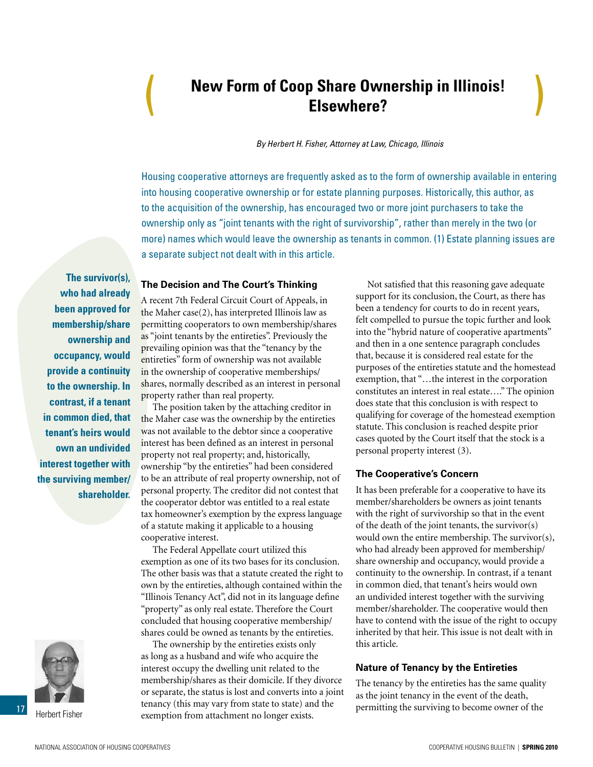## <span id="page-16-0"></span>**New Form of Coop Share Ownership in Illinois! Elsewhere?**

*By Herbert H. Fisher, Attorney at Law, Chicago, Illinois*

Housing cooperative attorneys are frequently asked as to the form of ownership available in entering into housing cooperative ownership or for estate planning purposes. Historically, this author, as to the acquisition of the ownership, has encouraged two or more joint purchasers to take the ownership only as "joint tenants with the right of survivorship", rather than merely in the two (or more) names which would leave the ownership as tenants in common. (1) Estate planning issues are a separate subject not dealt with in this article.

**The survivor(s), who had already been approved for membership/share ownership and occupancy, would provide a continuity to the ownership. In contrast, if a tenant in common died, that tenant's heirs would own an undivided interest together with the surviving member/ shareholder.** 



Herbert Fisher

17

### **The Decision and The Court's Thinking**

A recent 7th Federal Circuit Court of Appeals, in the Maher case(2), has interpreted Illinois law as permitting cooperators to own membership/shares as "joint tenants by the entireties". Previously the prevailing opinion was that the "tenancy by the entireties" form of ownership was not available in the ownership of cooperative memberships/ shares, normally described as an interest in personal property rather than real property.

The position taken by the attaching creditor in the Maher case was the ownership by the entireties was not available to the debtor since a cooperative interest has been defined as an interest in personal property not real property; and, historically, ownership "by the entireties" had been considered to be an attribute of real property ownership, not of personal property. The creditor did not contest that the cooperator debtor was entitled to a real estate tax homeowner's exemption by the express language of a statute making it applicable to a housing cooperative interest.

The Federal Appellate court utilized this exemption as one of its two bases for its conclusion. The other basis was that a statute created the right to own by the entireties, although contained within the "Illinois Tenancy Act", did not in its language define "property" as only real estate. Therefore the Court concluded that housing cooperative membership/ shares could be owned as tenants by the entireties.

The ownership by the entireties exists only as long as a husband and wife who acquire the interest occupy the dwelling unit related to the membership/shares as their domicile. If they divorce or separate, the status is lost and converts into a joint tenancy (this may vary from state to state) and the exemption from attachment no longer exists.

Not satisfied that this reasoning gave adequate support for its conclusion, the Court, as there has been a tendency for courts to do in recent years, felt compelled to pursue the topic further and look into the "hybrid nature of cooperative apartments" and then in a one sentence paragraph concludes that, because it is considered real estate for the purposes of the entireties statute and the homestead exemption, that "…the interest in the corporation constitutes an interest in real estate…." The opinion does state that this conclusion is with respect to qualifying for coverage of the homestead exemption statute. This conclusion is reached despite prior cases quoted by the Court itself that the stock is a personal property interest (3).

### **The Cooperative's Concern**

It has been preferable for a cooperative to have its member/shareholders be owners as joint tenants with the right of survivorship so that in the event of the death of the joint tenants, the survivor(s) would own the entire membership. The survivor(s), who had already been approved for membership/ share ownership and occupancy, would provide a continuity to the ownership. In contrast, if a tenant in common died, that tenant's heirs would own an undivided interest together with the surviving member/shareholder. The cooperative would then have to contend with the issue of the right to occupy inherited by that heir. This issue is not dealt with in this article.

### **Nature of Tenancy by the Entireties**

The tenancy by the entireties has the same quality as the joint tenancy in the event of the death, permitting the surviving to become owner of the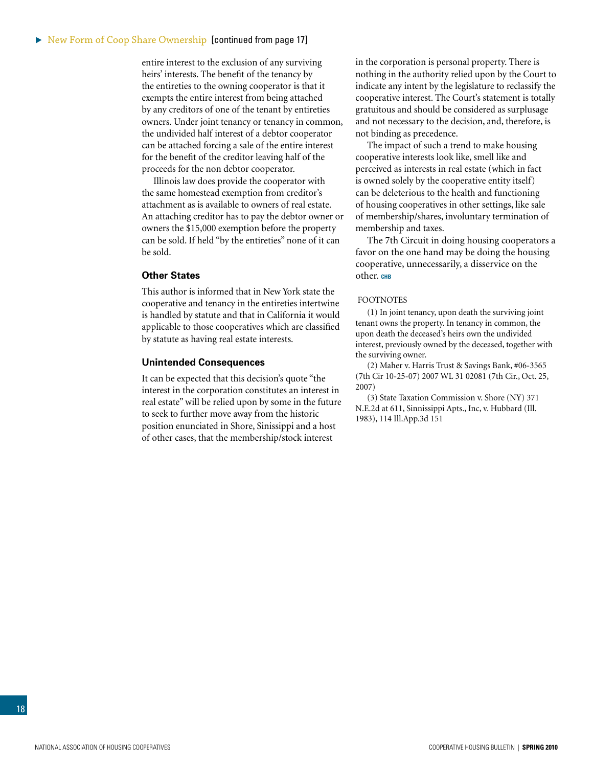entire interest to the exclusion of any surviving heirs' interests. The benefit of the tenancy by the entireties to the owning cooperator is that it exempts the entire interest from being attached by any creditors of one of the tenant by entireties owners. Under joint tenancy or tenancy in common, the undivided half interest of a debtor cooperator can be attached forcing a sale of the entire interest for the benefit of the creditor leaving half of the proceeds for the non debtor cooperator.

Illinois law does provide the cooperator with the same homestead exemption from creditor's attachment as is available to owners of real estate. An attaching creditor has to pay the debtor owner or owners the \$15,000 exemption before the property can be sold. If held "by the entireties" none of it can be sold.

### **Other States**

This author is informed that in New York state the cooperative and tenancy in the entireties intertwine is handled by statute and that in California it would applicable to those cooperatives which are classified by statute as having real estate interests.

#### **Unintended Consequences**

It can be expected that this decision's quote "the interest in the corporation constitutes an interest in real estate" will be relied upon by some in the future to seek to further move away from the historic position enunciated in Shore, Sinissippi and a host of other cases, that the membership/stock interest

in the corporation is personal property. There is nothing in the authority relied upon by the Court to indicate any intent by the legislature to reclassify the cooperative interest. The Court's statement is totally gratuitous and should be considered as surplusage and not necessary to the decision, and, therefore, is not binding as precedence.

The impact of such a trend to make housing cooperative interests look like, smell like and perceived as interests in real estate (which in fact is owned solely by the cooperative entity itself) can be deleterious to the health and functioning of housing cooperatives in other settings, like sale of membership/shares, involuntary termination of membership and taxes.

The 7th Circuit in doing housing cooperators a favor on the one hand may be doing the housing cooperative, unnecessarily, a disservice on the other. CHB

#### **FOOTNOTES**

(1) In joint tenancy, upon death the surviving joint tenant owns the property. In tenancy in common, the upon death the deceased's heirs own the undivided interest, previously owned by the deceased, together with the surviving owner.

(2) Maher v. Harris Trust & Savings Bank, #06-3565 (7th Cir 10-25-07) 2007 WL 31 02081 (7th Cir., Oct. 25, 2007)

(3) State Taxation Commission v. Shore (NY) 371 N.E.2d at 611, Sinnissippi Apts., Inc, v. Hubbard (Ill. 1983), 114 Ill.App.3d 151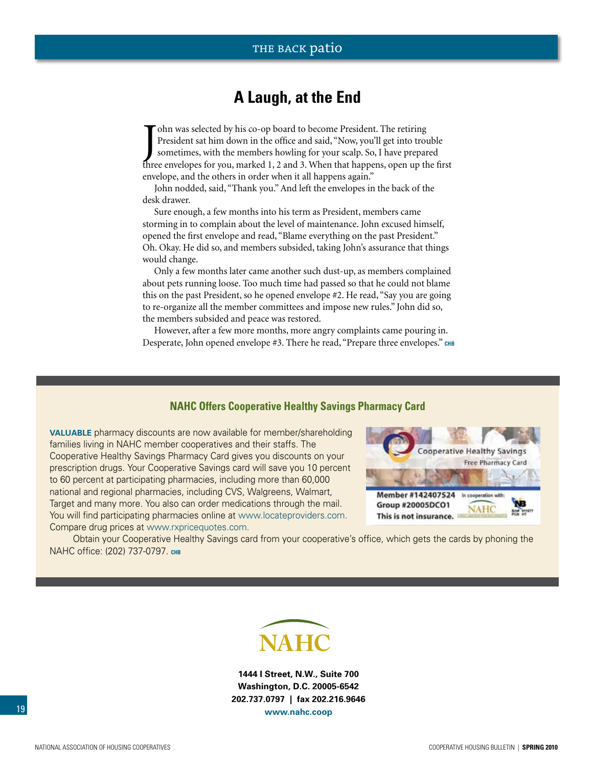## **A Laugh, at the End**

<span id="page-18-0"></span>Tohn was selected by his co-op board to become President. The retiring<br>President sat him down in the office and said, "Now, you'll get into trouble<br>sometimes, with the members howling for your scalp. So, I have prepared<br>th ohn was selected by his co-op board to become President. The retiring President sat him down in the office and said, "Now, you'll get into trouble sometimes, with the members howling for your scalp. So, I have prepared envelope, and the others in order when it all happens again."

John nodded, said, "Thank you." And left the envelopes in the back of the desk drawer.

Sure enough, a few months into his term as President, members came storming in to complain about the level of maintenance. John excused himself, opened the first envelope and read, "Blame everything on the past President." Oh. Okay. He did so, and members subsided, taking John's assurance that things would change.

Only a few months later came another such dust-up, as members complained about pets running loose. Too much time had passed so that he could not blame this on the past President, so he opened envelope #2. He read, "Say you are going to re-organize all the member committees and impose new rules." John did so, the members subsided and peace was restored.

However, after a few more months, more angry complaints came pouring in. Desperate, John opened envelope #3. There he read, "Prepare three envelopes." **chb**

## **NAHC Offers Cooperative Healthy Savings Pharmacy Card**

**Valuable** pharmacy discounts are now available for member/shareholding families living in NAHC member cooperatives and their staffs. The Cooperative Healthy Savings Pharmacy Card gives you discounts on your prescription drugs. Your Cooperative Savings card will save you 10 percent to 60 percent at participating pharmacies, including more than 60,000 national and regional pharmacies, including CVS, Walgreens, Walmart, Target and many more. You also can order medications through the mail. You will find participating pharmacies online at www.locateproviders.com. Compare drug prices at www.rxpricequotes.com.



Obtain your Cooperative Healthy Savings card from your cooperative's office, which gets the cards by phoning the NAHC office: (202) 737-0797. **chb**



**1444 I Street, N.W., Suite 700 Washington, D.C. 20005-6542 202.737.0797 | fax 202.216.9646 www.nahc.coop**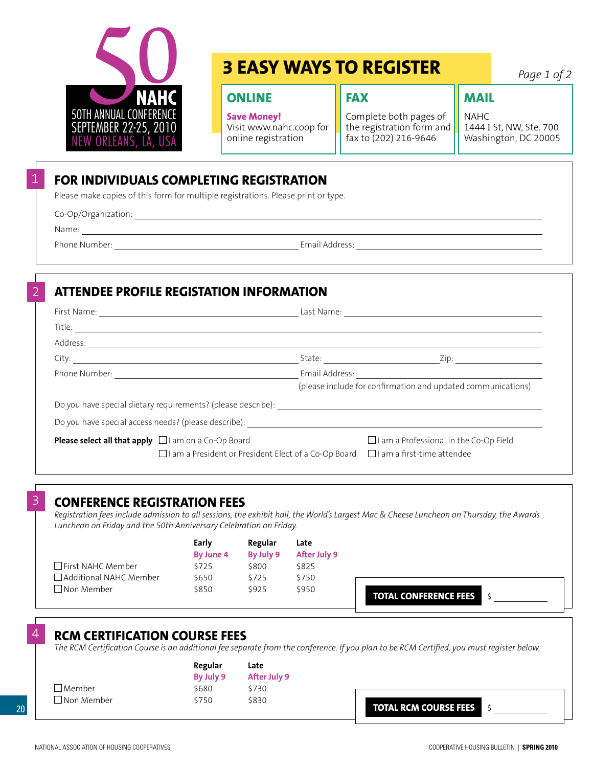<span id="page-19-0"></span>

## **3 EASY WAYS TO REGISTER**

**fax**

## **ONLINE**

**Save Money!** Visit www.nahc.coop for online registration

Complete both pages of the registration form and fax to (202) 216-9646

*Page 1 of 2*

## **mail**

NAHC 1444 I St, NW, Ste. 700 Washington, DC 20005

## **FOR INDIVIDUALS COMPLETING REGISTRATION**

Please make copies of this form for multiple registrations. Please print or type.

Co-Op/Organization:

Name:

1

2

Phone Number: The Community of the Community of the Email Address:

## **ATTENDEE PROFILE REGISTATION INFORMATION**

|                                                                  | State: <u>Zip:</u> Zip:                                                                       |  |  |  |
|------------------------------------------------------------------|-----------------------------------------------------------------------------------------------|--|--|--|
| Phone Number: <u>________________________________</u>            |                                                                                               |  |  |  |
|                                                                  | (please include for confirmation and updated communications)                                  |  |  |  |
|                                                                  |                                                                                               |  |  |  |
|                                                                  |                                                                                               |  |  |  |
| <b>Please select all that apply</b> $\Box$ I am on a Co-Op Board | $\Box$ I am a Professional in the Co-Op Field                                                 |  |  |  |
|                                                                  | $\Box$ I am a President or President Elect of a Co-Op Board $\Box$ I am a first-time attendee |  |  |  |

## 3 **CONFERENCE REGISTRATION FEES**

*Registration fees include admission to all sessions, the exhibit hall, the World's Largest Mac & Cheese Luncheon on Thursday, the Awards Luncheon on Friday and the 50th Anniversary Celebration on Friday.*

|                               | Early            | Regular   | Late         |                              |
|-------------------------------|------------------|-----------|--------------|------------------------------|
|                               | <b>By June 4</b> | By July 9 | After July 9 |                              |
| $\Box$ First NAHC Member      | \$725            | \$800     | \$825        |                              |
| $\Box$ Additional NAHC Member | \$650            | \$725     | \$750        |                              |
| $\square$ Non Member          | \$850            | \$925     | \$950        | <b>TOTAL CONFERENCE FEES</b> |

## 4 **RCM CERTIFICATION COURSE FEES**

*The RCM Certification Course is an additional fee separate from the conference. If you plan to be RCM Certified, you must register below.*

|            | Regular   | Late         |                              |
|------------|-----------|--------------|------------------------------|
|            | By July 9 | After July 9 |                              |
| Member !   | \$680     | \$730        |                              |
| Non Member | \$750     | \$830        | <b>TOTAL RCM COURSE FEES</b> |